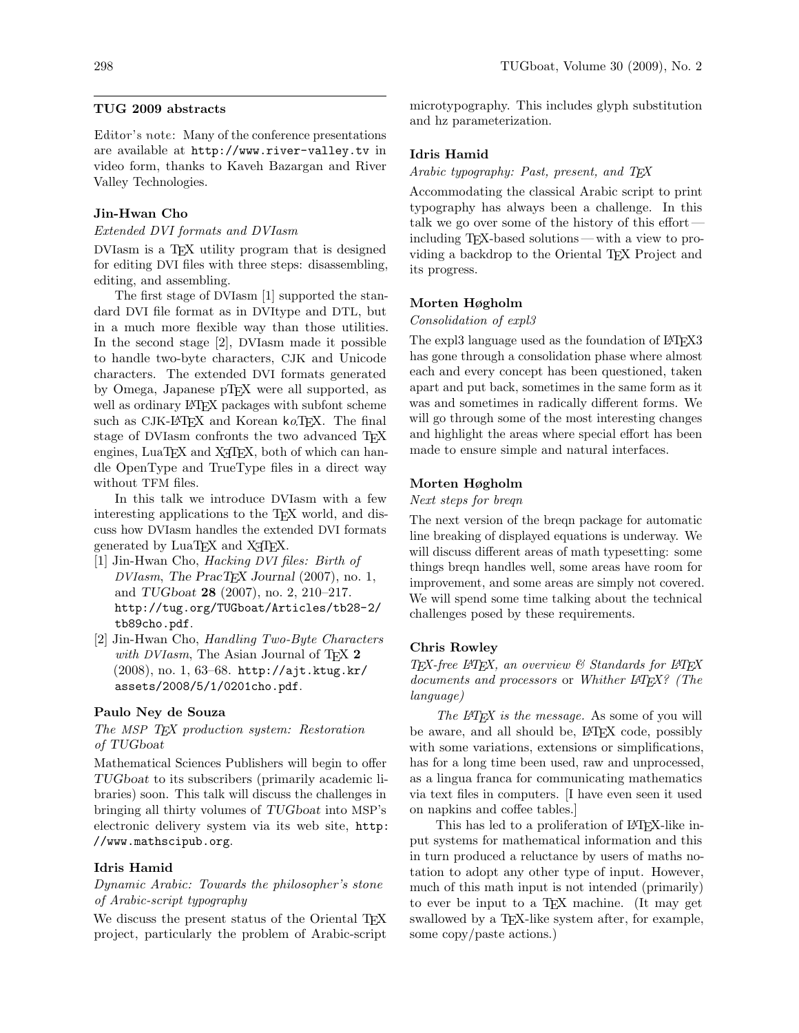## TUG 2009 abstracts

Editor's note: Many of the conference presentations are available at <http://www.river-valley.tv> in video form, thanks to Kaveh Bazargan and River Valley Technologies.

## Jin-Hwan Cho

## Extended DVI formats and DVIasm

DVIasm is a T<sub>E</sub>X utility program that is designed for editing DVI files with three steps: disassembling, editing, and assembling.

The first stage of DVIasm [1] supported the standard DVI file format as in DVItype and DTL, but in a much more flexible way than those utilities. In the second stage [2], DVIasm made it possible to handle two-byte characters, CJK and Unicode characters. The extended DVI formats generated by Omega, Japanese pTFX were all supported, as well as ordinary LAT<sub>EX</sub> packages with subfont scheme such as CJK-L<sup>AT</sup>EX and Korean ko.TEX. The final stage of DVIasm confronts the two advanced T<sub>F</sub>X engines, LuaTEX and X<sub>T</sub>TEX, both of which can handle OpenType and TrueType files in a direct way without TFM files.

In this talk we introduce DVIasm with a few interesting applications to the T<sub>E</sub>X world, and discuss how DVIasm handles the extended DVI formats generated by LuaT<sub>EX</sub> and X<sub>T</sub>T<sub>EX</sub>.

- [1] Jin-Hwan Cho, Hacking DVI files: Birth of  $DVlasm$ , The PracT<sub>F</sub>X Journal (2007), no. 1, and TUGboat 28 (2007), no. 2, 210–217. [http://tug.org/TUGboat/Articles/tb28-2/](http://tug.org/TUGboat/Articles/tb28-2/tb89cho.pdf) [tb89cho.pdf](http://tug.org/TUGboat/Articles/tb28-2/tb89cho.pdf).
- [2] Jin-Hwan Cho, Handling Two-Byte Characters with DVIasm, The Asian Journal of T<sub>F</sub>X  $2$ (2008), no. 1, 63–68. [http://ajt.ktug.kr/](http://ajt.ktug.kr/assets/2008/5/1/0201cho.pdf) [assets/2008/5/1/0201cho.pdf](http://ajt.ktug.kr/assets/2008/5/1/0201cho.pdf).

#### Paulo Ney de Souza

## The MSP T<sub>F</sub>X production system: Restoration of TUGboat

Mathematical Sciences Publishers will begin to offer TUGboat to its subscribers (primarily academic libraries) soon. This talk will discuss the challenges in bringing all thirty volumes of TUGboat into MSP's electronic delivery system via its web site, [http:](http://www.mathscipub.org) [//www.mathscipub.org](http://www.mathscipub.org).

#### Idris Hamid

## Dynamic Arabic: Towards the philosopher's stone of Arabic-script typography

We discuss the present status of the Oriental T<sub>EX</sub> project, particularly the problem of Arabic-script

microtypography. This includes glyph substitution and hz parameterization.

#### Idris Hamid

Arabic typography: Past, present, and TEX

Accommodating the classical Arabic script to print typography has always been a challenge. In this talk we go over some of the history of this effort including TEX-based solutions — with a view to providing a backdrop to the Oriental T<sub>EX</sub> Project and its progress.

#### Morten Høgholm

#### Consolidation of expl3

The expl3 language used as the foundation of LAT<sub>EX3</sub> has gone through a consolidation phase where almost each and every concept has been questioned, taken apart and put back, sometimes in the same form as it was and sometimes in radically different forms. We will go through some of the most interesting changes and highlight the areas where special effort has been made to ensure simple and natural interfaces.

## Morten Høgholm

### Next steps for breqn

The next version of the breqn package for automatic line breaking of displayed equations is underway. We will discuss different areas of math typesetting: some things breqn handles well, some areas have room for improvement, and some areas are simply not covered. We will spend some time talking about the technical challenges posed by these requirements.

## Chris Rowley

 $TEX$ -free LATEX, an overview  $\mathcal C$  Standards for LATEX documents and processors or Whither L<sup>AT</sup>EX? (The language)

The L<sup>AT</sup>FX is the message. As some of you will be aware, and all should be, LAT<sub>EX</sub> code, possibly with some variations, extensions or simplifications, has for a long time been used, raw and unprocessed, as a lingua franca for communicating mathematics via text files in computers. [I have even seen it used on napkins and coffee tables.]

This has led to a proliferation of LAT<sub>EX</sub>-like input systems for mathematical information and this in turn produced a reluctance by users of maths notation to adopt any other type of input. However, much of this math input is not intended (primarily) to ever be input to a TEX machine. (It may get swallowed by a T<sub>EX</sub>-like system after, for example, some copy/paste actions.)